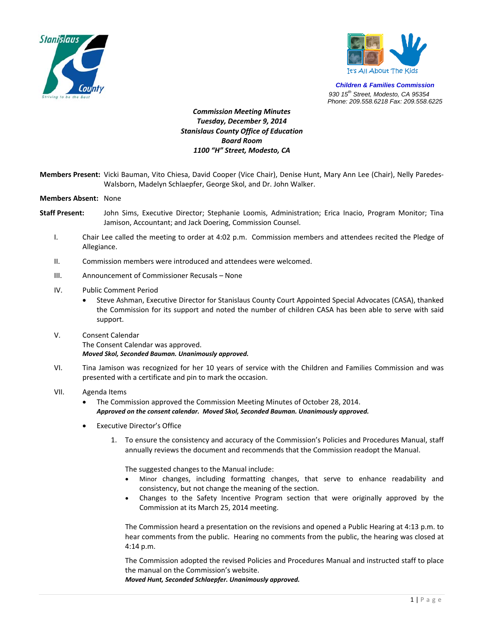



*Children & Families Commission 930 15th Street, Modesto, CA 95354 Phone: 209.558.6218 Fax: 209.558.6225*

## *Commission Meeting Minutes Tuesday, December 9, 2014 Stanislaus County Office of Education Board Room 1100 "H" Street, Modesto, CA*

- **Members Present:** Vicki Bauman, Vito Chiesa, David Cooper (Vice Chair), Denise Hunt, Mary Ann Lee (Chair), Nelly Paredes‐ Walsborn, Madelyn Schlaepfer, George Skol, and Dr. John Walker.
- **Members Absent:** None
- **Staff Present:** John Sims, Executive Director; Stephanie Loomis, Administration; Erica Inacio, Program Monitor; Tina Jamison, Accountant; and Jack Doering, Commission Counsel.
	- I. Chair Lee called the meeting to order at 4:02 p.m. Commission members and attendees recited the Pledge of Allegiance.
	- II. Commission members were introduced and attendees were welcomed.
	- III. Announcement of Commissioner Recusals None
	- IV. Public Comment Period
		- Steve Ashman, Executive Director for Stanislaus County Court Appointed Special Advocates (CASA), thanked the Commission for its support and noted the number of children CASA has been able to serve with said support.
	- V. Consent Calendar The Consent Calendar was approved. *Moved Skol, Seconded Bauman. Unanimously approved.*
	- VI. Tina Jamison was recognized for her 10 years of service with the Children and Families Commission and was presented with a certificate and pin to mark the occasion.
	- VII. Agenda Items
		- The Commission approved the Commission Meeting Minutes of October 28, 2014. *Approved on the consent calendar. Moved Skol, Seconded Bauman. Unanimously approved.*
		- **Executive Director's Office** 
			- 1. To ensure the consistency and accuracy of the Commission's Policies and Procedures Manual, staff annually reviews the document and recommends that the Commission readopt the Manual.

The suggested changes to the Manual include:

- Minor changes, including formatting changes, that serve to enhance readability and consistency, but not change the meaning of the section.
- Changes to the Safety Incentive Program section that were originally approved by the Commission at its March 25, 2014 meeting.

The Commission heard a presentation on the revisions and opened a Public Hearing at 4:13 p.m. to hear comments from the public. Hearing no comments from the public, the hearing was closed at 4:14 p.m.

The Commission adopted the revised Policies and Procedures Manual and instructed staff to place the manual on the Commission's website.

*Moved Hunt, Seconded Schlaepfer. Unanimously approved.*